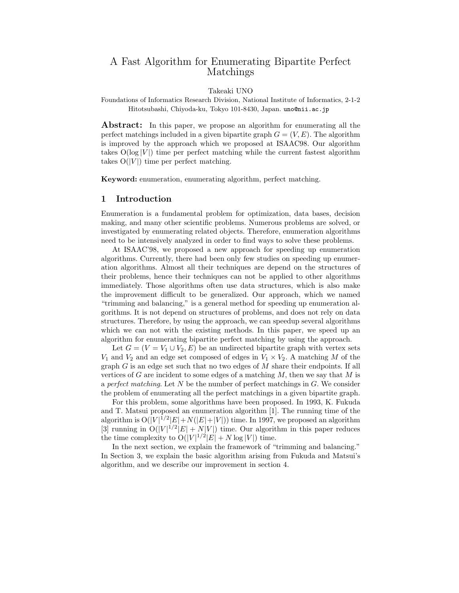# A Fast Algorithm for Enumerating Bipartite Perfect Matchings

#### Takeaki UNO

Foundations of Informatics Research Division, National Institute of Informatics, 2-1-2 Hitotsubashi, Chiyoda-ku, Tokyo 101-8430, Japan. uno@nii.ac.jp

**Abstract:** In this paper, we propose an algorithm for enumerating all the perfect matchings included in a given bipartite graph  $G = (V, E)$ . The algorithm is improved by the approach which we proposed at ISAAC98. Our algorithm takes  $O(log|V|)$  time per perfect matching while the current fastest algorithm takes  $O(|V|)$  time per perfect matching.

**Keyword:** enumeration, enumerating algorithm, perfect matching.

#### **1 Introduction**

Enumeration is a fundamental problem for optimization, data bases, decision making, and many other scientific problems. Numerous problems are solved, or investigated by enumerating related objects. Therefore, enumeration algorithms need to be intensively analyzed in order to find ways to solve these problems.

At ISAAC'98, we proposed a new approach for speeding up enumeration algorithms. Currently, there had been only few studies on speeding up enumeration algorithms. Almost all their techniques are depend on the structures of their problems, hence their techniques can not be applied to other algorithms immediately. Those algorithms often use data structures, which is also make the improvement difficult to be generalized. Our approach, which we named "trimming and balancing," is a general method for speeding up enumeration algorithms. It is not depend on structures of problems, and does not rely on data structures. Therefore, by using the approach, we can speedup several algorithms which we can not with the existing methods. In this paper, we speed up an algorithm for enumerating bipartite perfect matching by using the approach.

Let  $G = (V = V_1 \cup V_2, E)$  be an undirected bipartite graph with vertex sets  $V_1$  and  $V_2$  and an edge set composed of edges in  $V_1 \times V_2$ . A matching M of the graph  $G$  is an edge set such that no two edges of  $M$  share their endpoints. If all vertices of G are incident to some edges of a matching  $M$ , then we say that  $M$  is a *perfect matching*. Let N be the number of perfect matchings in G. We consider the problem of enumerating all the perfect matchings in a given bipartite graph.

For this problem, some algorithms have been proposed. In 1993, K. Fukuda and T. Matsui proposed an enumeration algorithm [1]. The running time of the algorithm is  $O(|V|^{1/2} |E| + N(|E|+|V|))$  time. In 1997, we proposed an algorithm [3] running in  $O(|V|^{1/2}|E| + N|V|)$  time. Our algorithm in this paper reduces the time complexity to  $O(|V|^{1/2}|E| + N \log |V|)$  time.

In the next section, we explain the framework of "trimming and balancing." In Section 3, we explain the basic algorithm arising from Fukuda and Matsui's algorithm, and we describe our improvement in section 4.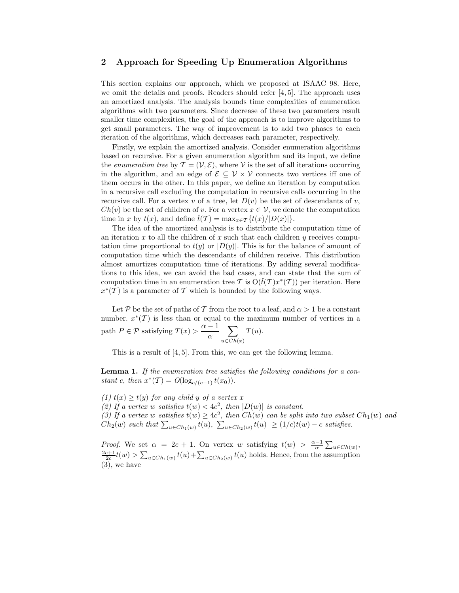#### **2 Approach for Speeding Up Enumeration Algorithms**

This section explains our approach, which we proposed at ISAAC 98. Here, we omit the details and proofs. Readers should refer [4, 5]. The approach uses an amortized analysis. The analysis bounds time complexities of enumeration algorithms with two parameters. Since decrease of these two parameters result smaller time complexities, the goal of the approach is to improve algorithms to get small parameters. The way of improvement is to add two phases to each iteration of the algorithms, which decreases each parameter, respectively.

Firstly, we explain the amortized analysis. Consider enumeration algorithms based on recursive. For a given enumeration algorithm and its input, we define the *enumeration tree* by  $\mathcal{T} = (\mathcal{V}, \mathcal{E})$ , where  $\mathcal{V}$  is the set of all iterations occurring in the algorithm, and an edge of  $\mathcal{E} \subseteq \mathcal{V} \times \mathcal{V}$  connects two vertices iff one of them occurs in the other. In this paper, we define an iteration by computation in a recursive call excluding the computation in recursive calls occurring in the recursive call. For a vertex v of a tree, let  $D(v)$  be the set of descendants of v,  $Ch(v)$  be the set of children of v. For a vertex  $x \in V$ , we denote the computation time in x by  $t(x)$ , and define  $\hat{t}(T) = \max_{x \in \mathcal{T}} \{t(x)/|D(x)|\}.$ 

The idea of the amortized analysis is to distribute the computation time of an iteration x to all the children of x such that each children y receives computation time proportional to  $t(y)$  or  $|D(y)|$ . This is for the balance of amount of computation time which the descendants of children receive. This distribution almost amortizes computation time of iterations. By adding several modifications to this idea, we can avoid the bad cases, and can state that the sum of computation time in an enumeration tree T is  $O(\hat{t}(T)x^*(T))$  per iteration. Here  $x^*(\mathcal{T})$  is a parameter of  $\mathcal T$  which is bounded by the following ways.

Let P be the set of paths of T from the root to a leaf, and  $\alpha > 1$  be a constant number.  $x^*(\mathcal{T})$  is less than or equal to the maximum number of vertices in a path  $P \in \mathcal{P}$  satisfying  $T(x) > \frac{\alpha - 1}{\alpha}$  $\frac{-1}{\alpha}$   $\sum$  $u \in Ch(x)$  $T(u)$ .

This is a result of [4, 5]. From this, we can get the following lemma.

**Lemma 1.** *If the enumeration tree satisfies the following conditions for a constant* c, then  $x^*(T) = O(\log_{c/(c-1)} t(x_0)).$ 

*(1)*  $t(x) > t(y)$  *for any child y of a vertex* x (2) If a vertex w satisfies  $t(w) < 4c^2$ , then  $|D(w)|$  is constant. (3) If a vertex w satisfies  $t(w) \geq 4c^2$ , then  $Ch(w)$  can be split into two subset  $Ch_1(w)$  and  $Ch_2(w)$  *such that*  $\sum_{u \in Ch_1(w)} t(u)$ ,  $\sum_{u \in Ch_2(w)} t(u) \geq (1/c)t(w) - c$  *satisfies.* 

*Proof.* We set  $\alpha = 2c + 1$ . On vertex w satisfying  $t(w) > \frac{\alpha - 1}{\alpha} \sum_{u \in Ch(w)}$ ,  $\frac{2c+1}{2c}t(w) > \sum_{u \in Ch_1(w)} t(u) + \sum_{u \in Ch_2(w)} t(u)$  holds. Hence, from the assumption (3), we have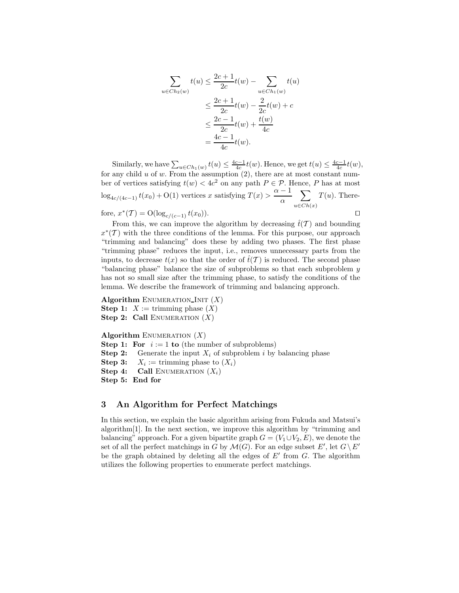$$
\sum_{u \in Ch_2(w)} t(u) \le \frac{2c+1}{2c} t(w) - \sum_{u \in Ch_1(w)} t(u)
$$
  

$$
\le \frac{2c+1}{2c} t(w) - \frac{2}{2c} t(w) + c
$$
  

$$
\le \frac{2c-1}{2c} t(w) + \frac{t(w)}{4c}
$$
  

$$
= \frac{4c-1}{4c} t(w).
$$

Similarly, we have  $\sum_{u \in Ch_1(w)} t(u) \leq \frac{4c-1}{4c} t(w)$ . Hence, we get  $t(u) \leq \frac{4c-1}{4c} t(w)$ , for any child u of w. From the assumption  $(2)$ , there are at most constant number of vertices satisfying  $t(w) < 4c^2$  on any path  $P \in \mathcal{P}$ . Hence, P has at most  $\log_{4c/(4c-1)} t(x_0) + O(1)$  vertices x satisfying  $T(x) > \frac{\alpha - 1}{\alpha}$  $\frac{-1}{\alpha}$   $\sum$  $u \in Ch(x)$  $T(u)$ . Therefore,  $x^*(T) = O(\log_{c/(c-1)} t(x_0)).$ 

From this, we can improve the algorithm by decreasing  $\hat{t}(\mathcal{T})$  and bounding  $x^*(\mathcal{T})$  with the three conditions of the lemma. For this purpose, our approach "trimming and balancing" does these by adding two phases. The first phase "trimming phase" reduces the input, i.e., removes unnecessary parts from the inputs, to decrease  $t(x)$  so that the order of  $\hat{t}(T)$  is reduced. The second phase "balancing phase" balance the size of subproblems so that each subproblem  $y$ has not so small size after the trimming phase, to satisfy the conditions of the lemma. We describe the framework of trimming and balancing approach.

**Algorithm** ENUMERATION INIT  $(X)$ **Step 1:**  $X := \text{trimming phase } (X)$ **Step 2: Call** ENUMERATION  $(X)$ 

```
Algorithm ENUMERATION (X)Step 1: For i := 1 to (the number of subproblems)
```
**Step 2:** Generate the input  $X_i$  of subproblem i by balancing phase

**Step 3:**  $X_i := \text{trimming phase to } (X_i)$ 

**Step 4:** Call ENUMERATION  $(X_i)$ 

**Step 5: End for**

## **3 An Algorithm for Perfect Matchings**

In this section, we explain the basic algorithm arising from Fukuda and Matsui's algorithm[1]. In the next section, we improve this algorithm by "trimming and balancing" approach. For a given bipartite graph  $G = (V_1 \cup V_2, E)$ , we denote the set of all the perfect matchings in G by  $\mathcal{M}(G)$ . For an edge subset E', let  $G \setminus E'$ be the graph obtained by deleting all the edges of  $E'$  from  $G$ . The algorithm utilizes the following properties to enumerate perfect matchings.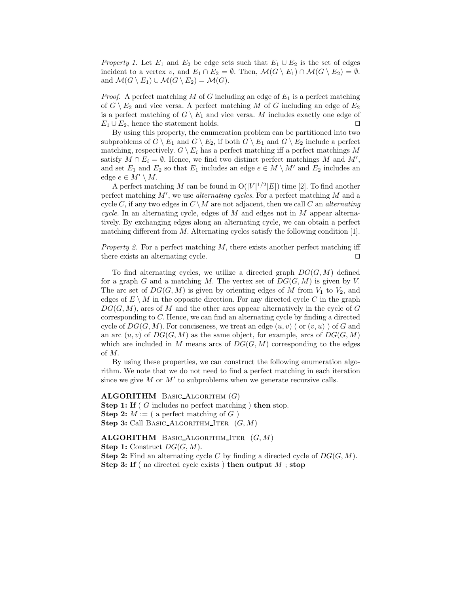*Property 1.* Let  $E_1$  and  $E_2$  be edge sets such that  $E_1 \cup E_2$  is the set of edges incident to a vertex v, and  $E_1 \cap E_2 = \emptyset$ . Then,  $\mathcal{M}(G \setminus E_1) \cap \mathcal{M}(G \setminus E_2) = \emptyset$ . and  $\mathcal{M}(G \setminus E_1) \cup \mathcal{M}(G \setminus E_2) = \mathcal{M}(G)$ .

*Proof.* A perfect matching M of G including an edge of  $E_1$  is a perfect matching of  $G \setminus E_2$  and vice versa. A perfect matching M of G including an edge of  $E_2$ is a perfect matching of  $G \setminus E_1$  and vice versa. M includes exactly one edge of  $E_1 \cup E_2$ , hence the statement holds.

By using this property, the enumeration problem can be partitioned into two subproblems of  $G \setminus E_1$  and  $G \setminus E_2$ , if both  $G \setminus E_1$  and  $G \setminus E_2$  include a perfect matching, respectively.  $G \setminus E_i$  has a perfect matching iff a perfect matchings M satisfy  $M \cap E_i = \emptyset$ . Hence, we find two distinct perfect matchings M and M', and set  $E_1$  and  $E_2$  so that  $E_1$  includes an edge  $e \in M \setminus M'$  and  $E_2$  includes an edge  $e \in M' \setminus M$ .

A perfect matching M can be found in  $O(|V|^{1/2}|E|)$  time [2]. To find another perfect matching M , we use *alternating cycles*. For a perfect matching M and a cycle C, if any two edges in  $C \setminus M$  are not adjacent, then we call C an *alternating cycle.* In an alternating cycle, edges of M and edges not in M appear alternatively. By exchanging edges along an alternating cycle, we can obtain a perfect matching different from M. Alternating cycles satisfy the following condition [1].

*Property 2.* For a perfect matching M, there exists another perfect matching iff there exists an alternating cycle.

To find alternating cycles, we utilize a directed graph  $DG(G, M)$  defined for a graph G and a matching M. The vertex set of  $DG(G, M)$  is given by V. The arc set of  $DG(G, M)$  is given by orienting edges of M from  $V_1$  to  $V_2$ , and edges of  $E \setminus M$  in the opposite direction. For any directed cycle C in the graph  $DG(G, M)$ , arcs of M and the other arcs appear alternatively in the cycle of G corresponding to C. Hence, we can find an alternating cycle by finding a directed cycle of  $DG(G, M)$ . For conciseness, we treat an edge  $(u, v)$  (or  $(v, u)$ ) of G and an arc  $(u, v)$  of  $DG(G, M)$  as the same object, for example, arcs of  $DG(G, M)$ which are included in M means arcs of  $DG(G, M)$  corresponding to the edges of M.

By using these properties, we can construct the following enumeration algorithm. We note that we do not need to find a perfect matching in each iteration since we give M or  $M'$  to subproblems when we generate recursive calls.

**ALGORITHM** Basic Algorithm (G) **Step 1: If** ( G includes no perfect matching ) **then** stop. **Step 2:**  $M := ($  a perfect matching of  $G$ ) **Step 3:** Call BASIC ALGORITHM ITER  $(G, M)$ 

#### **ALGORITHM** Basic Algorithm Iter (G, M)

**Step 1:** Construct  $DG(G, M)$ .

**Step 2:** Find an alternating cycle C by finding a directed cycle of  $DG(G, M)$ .

**Step 3: If** ( no directed cycle exists ) **then output** M ; **stop**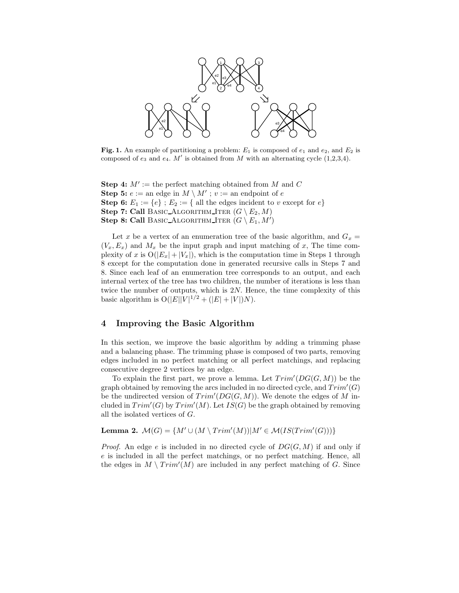

**Fig. 1.** An example of partitioning a problem: *<sup>E</sup>*<sup>1</sup> is composed of *<sup>e</sup>*<sup>1</sup> and *<sup>e</sup>*2*,* and *<sup>E</sup>*<sup>2</sup> is composed of  $e_3$  and  $e_4$ . M' is obtained from M with an alternating cycle  $(1,2,3,4)$ .

**Step 4:**  $M' :=$  the perfect matching obtained from M and C **Step 5:**  $e :=$  an edge in  $M \setminus M'$ ;  $v :=$  an endpoint of  $e$ **Step 6:**  $E_1 := \{e\}$ ;  $E_2 := \{$  all the edges incident to v except for  $e\}$ **Step 7: Call** BASIC ALGORITHM ITER  $(G \setminus E_2, M)$ **Step 8: Call** BASIC\_ALGORITHM\_ITER  $(G \setminus E_1, M')$ 

Let x be a vertex of an enumeration tree of the basic algorithm, and  $G_x =$  $(V_x, E_x)$  and  $M_x$  be the input graph and input matching of x, The time complexity of x is  $O(|E_x| + |V_x|)$ , which is the computation time in Steps 1 through 8 except for the computation done in generated recursive calls in Steps 7 and 8. Since each leaf of an enumeration tree corresponds to an output, and each internal vertex of the tree has two children, the number of iterations is less than twice the number of outputs, which is 2N. Hence, the time complexity of this basic algorithm is  $O(|E||V|^{1/2} + (|E| + |V|)N)$ .

## **4 Improving the Basic Algorithm**

In this section, we improve the basic algorithm by adding a trimming phase and a balancing phase. The trimming phase is composed of two parts, removing edges included in no perfect matching or all perfect matchings, and replacing consecutive degree 2 vertices by an edge.

To explain the first part, we prove a lemma. Let  $Trim'(DG(G, M))$  be the graph obtained by removing the arcs included in no directed cycle, and  $Trim'(G)$ be the undirected version of  $Trim'(DG(G, M))$ . We denote the edges of M included in  $Trim'(G)$  by  $Trim'(M)$ . Let  $IS(G)$  be the graph obtained by removing all the isolated vertices of G.

**Lemma 2.**  $\mathcal{M}(G) = \{ M' \cup (M \setminus Trim'(M)) | M' \in \mathcal{M}(IS(Trim'(G))) \}$ 

*Proof.* An edge e is included in no directed cycle of  $DG(G, M)$  if and only if e is included in all the perfect matchings, or no perfect matching. Hence, all the edges in  $M \setminus Trim'(M)$  are included in any perfect matching of G. Since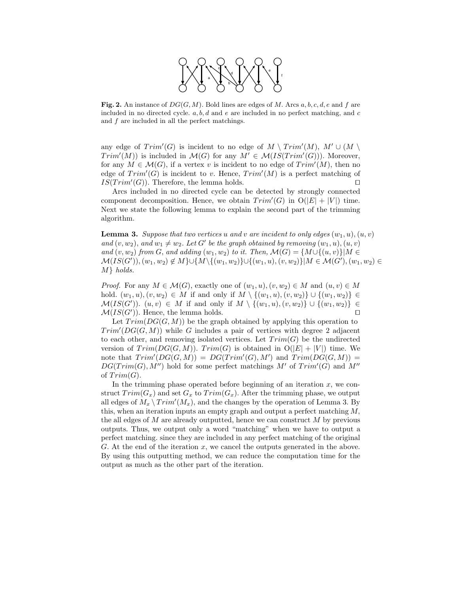

**Fig. 2.** An instance of *DG*(*G,M*)*.* Bold lines are edges of *M.* Arcs *a, b, c, d, e* and *<sup>f</sup>* are included in no directed cycle. *a, b, d* and *e* are included in no perfect matching, and *c* and *f* are included in all the perfect matchings.

any edge of  $Trim'(G)$  is incident to no edge of  $M \setminus Trim'(M)$ ,  $M' \cup (M \setminus$  $Trim'(M)$  is included in  $\mathcal{M}(G)$  for any  $M' \in \mathcal{M}(IS(Trim'(G)))$ . Moreover, for any  $M \in \mathcal{M}(G)$ , if a vertex v is incident to no edge of  $Trim'(M)$ , then no edge of  $Trim'(G)$  is incident to v. Hence,  $Trim'(M)$  is a perfect matching of  $IS(Trim'(G))$ . Therefore, the lemma holds.

Arcs included in no directed cycle can be detected by strongly connected component decomposition. Hence, we obtain  $Trim'(G)$  in  $O(|E| + |V|)$  time. Next we state the following lemma to explain the second part of the trimming algorithm.

**Lemma 3.** Suppose that two vertices u and v are incident to only edges  $(w_1, u), (u, v)$ *and*  $(v, w_2)$ , *and*  $w_1 \neq w_2$ . Let G' be the graph obtained by removing  $(w_1, u), (u, v)$ *and*  $(v, w_2)$  *from* G, *and adding*  $(w_1, w_2)$  *to it. Then,*  $\mathcal{M}(G) = \{M \cup \{(u, v)\} | M \in$  $\mathcal{M}(IS(G')),(w_1,w_2)\not\in M\}\cup \{\overline{M\backslash\{(w_1,w_2)\}}\cup \{(w_1,u),(v,w_2)\}|M\in \mathcal{M}(G'),(w_1,w_2)\in \mathcal{M}(S),$ M} *holds.*

*Proof.* For any  $M \in \mathcal{M}(G)$ , exactly one of  $(w_1, u), (v, w_2) \in M$  and  $(u, v) \in M$ hold.  $(w_1, u), (v, w_2) \in M$  if and only if  $M \setminus \{(w_1, u), (v, w_2)\} \cup \{(w_1, w_2)\}\in M$  $\mathcal{M}(IS(G'))$ .  $(u, v) \in M$  if and only if  $M \setminus \{(w_1, u), (v, w_2)\} \cup \{(w_1, w_2)\} \in$  $\mathcal{M}(IS(G'))$ . Hence, the lemma holds.

Let  $Trim(DG(G, M))$  be the graph obtained by applying this operation to  $Trim'(DG(G, M))$  while G includes a pair of vertices with degree 2 adjacent to each other, and removing isolated vertices. Let  $Trim(G)$  be the undirected version of  $Trim(DG(G, M))$ .  $Trim(G)$  is obtained in  $O(|E| + |V|)$  time. We note that  $Trim'(DG(G, M)) = DG(Trim'(G), M')$  and  $Trim(DG(G, M)) =$  $DG(Trim(G), M'')$  hold for some perfect matchings M' of  $Trim'(G)$  and M'' of  $Trim(G)$ .

In the trimming phase operated before beginning of an iteration  $x$ , we construct  $Trim(G_x)$  and set  $G_x$  to  $Trim(G_x)$ . After the trimming phase, we output all edges of  $M_x \setminus Trim'(M_x)$ , and the changes by the operation of Lemma 3. By this, when an iteration inputs an empty graph and output a perfect matching  $M$ , the all edges of  $M$  are already outputted, hence we can construct  $M$  by previous outputs. Thus, we output only a word "matching" when we have to output a perfect matching. since they are included in any perfect matching of the original G. At the end of the iteration  $x$ , we cancel the outputs generated in the above. By using this outputting method, we can reduce the computation time for the output as much as the other part of the iteration.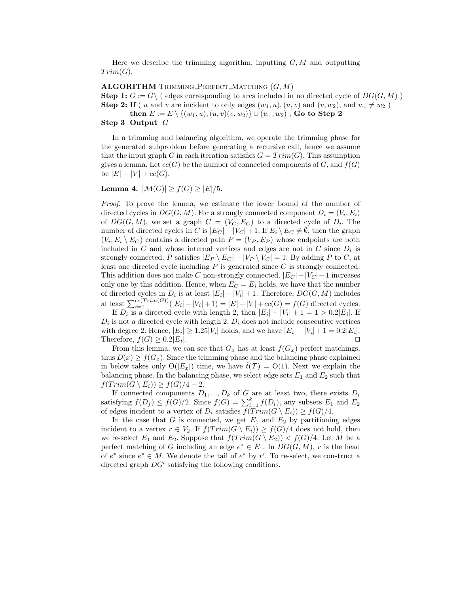Here we describe the trimming algorithm, inputting  $G, M$  and outputting  $Trim(G)$ .

#### **ALGORITHM** TRIMMING PERFECT MATCHING  $(G, M)$

**Step 1:**  $G := G \backslash$  (edges corresponding to arcs included in no directed cycle of  $DG(G, M)$ )

**Step 2: If** ( u and v are incident to only edges  $(w_1, u), (u, v)$  and  $(v, w_2)$ , and  $w_1 \neq w_2$ )

**then**  $E := E \setminus \{(w_1, u), (u, v)(v, w_2)\} ∪ (w_1, w_2)$ ; **Go to Step 2** 

#### **Step 3 Output** G

In a trimming and balancing algorithm, we operate the trimming phase for the generated subproblem before generating a recursive call, hence we assume that the input graph G in each iteration satisfies  $G = Trim(G)$ . This assumption gives a lemma. Let  $cc(G)$  be the number of connected components of G, and  $f(G)$ be  $|E| - |V| + cc(G)$ .

**Lemma 4.**  $|\mathcal{M}(G)| \ge f(G) \ge |E|/5$ .

*Proof.* To prove the lemma, we estimate the lower bound of the number of directed cycles in  $DG(G, M)$ . For a strongly connected component  $D_i = (V_i, E_i)$ of  $DG(G, M)$ , we set a graph  $C = (V_C, E_C)$  to a directed cycle of  $D_i$ . The number of directed cycles in C is  $|E_C| - |V_C| + 1$ . If  $E_i \setminus E_C \neq \emptyset$ , then the graph  $(V_i, E_i \setminus E_C)$  contains a directed path  $P = (V_P, E_P)$  whose endpoints are both included in  $C$  and whose internal vertices and edges are not in  $C$  since  $D_i$  is strongly connected. P satisfies  $|E_P \setminus E_C| - |V_P \setminus V_C| = 1$ . By adding P to C, at least one directed cycle including  $P$  is generated since  $C$  is strongly connected. This addition does not make C non-strongly connected.  $|E_C| - |V_C| + 1$  increases only one by this addition. Hence, when  $E_C = E_i$  holds, we have that the number of directed cycles in  $D_i$  is at least  $|E_i| - |V_i| + 1$ . Therefore,  $DG(G, M)$  includes at least  $\sum_{i=1}^{cc(Trim(G))}(|E_i| - |V_i| + 1) = |E| - |V| + cc(G) = f(G)$  directed cycles.

If  $D_i$  is a directed cycle with length 2, then  $|E_i| - |V_i| + 1 = 1 > 0.2|E_i|$ . If  $D_i$  is not a directed cycle with length 2,  $D_i$  does not include consecutive vertices with degree 2. Hence,  $|E_i| \geq 1.25|V_i|$  holds, and we have  $|E_i| - |V_i| + 1 = 0.2|E_i|$ . Therefore,  $f(G) \geq 0.2|E_t|$ .

From this lemma, we can see that  $G_x$  has at least  $f(G_x)$  perfect matchings, thus  $D(x) \ge f(G_x)$ . Since the trimming phase and the balancing phase explained in below takes only  $O(|E_x|)$  time, we have  $\hat{t}(\mathcal{T}) = O(1)$ . Next we explain the balancing phase. In the balancing phase, we select edge sets  $E_1$  and  $E_2$  such that  $f(T\text{rim}(G \setminus E_i)) \geq f(G)/4 - 2.$ 

If connected components  $D_1, ..., D_k$  of  $G$  are at least two, there exists  $D_i$ satisfying  $f(D_j) \leq f(G)/2$ . Since  $f(G) = \sum_{i=1}^{k} f(D_i)$ , any subsets  $E_1$  and  $E_2$ of edges incident to a vertex of  $D_i$  satisfies  $\overline{f(Trim(G \setminus E_i))} \ge f(G)/4$ .

In the case that  $G$  is connected, we get  $E_1$  and  $E_2$  by partitioning edges incident to a vertex  $r \in V_2$ . If  $f(T \text{rim}(G \setminus E_i)) \geq f(G)/4$  does not hold, then we re-select  $E_1$  and  $E_2$ . Suppose that  $f(T \, r \, \text{im}(G \setminus E_2)) < f(G)/4$ . Let M be a perfect matching of G including an edge  $e^* \in E_1$ . In  $DG(G, M)$ , r is the head of  $e^*$  since  $e^* \in M$ . We denote the tail of  $e^*$  by r'. To re-select, we construct a directed graph  $DG'$  satisfying the following conditions.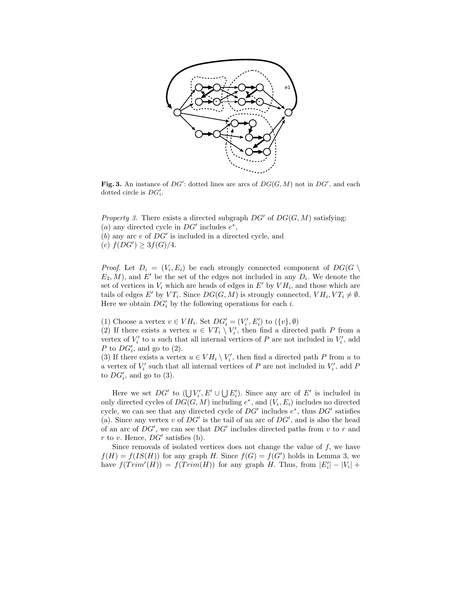

**Fig. 3.** An instance of *DG*': dotted lines are arcs of  $DG(G, M)$  not in  $DG'$ , and each dotted circle is  $DG'$ . dotted circle is *DG i.*

*Property 3.* There exists a directed subgraph  $DG'$  of  $DG(G, M)$  satisfying: (a) any directed cycle in  $DG'$  includes  $e^*$ ,  $(b)$  any arc e of  $DG'$  is included in a directed cycle, and

(c)  $f(DG') \geq 3f(G)/4$ .

*Proof.* Let  $D_i = (V_i, E_i)$  be each strongly connected component of  $DG(G \setminus$  $E_2, M$ , and E' be the set of the edges not included in any  $D_i$ . We denote the set of vertices in  $V_i$  which are heads of edges in E' by  $V H_i$ , and those which are tails of edges E' by  $VT_i$ . Since  $DG(G, M)$  is strongly connected,  $V H_i, VT_i \neq \emptyset$ . Here we obtain  $DG'_i$  by the following operations for each *i*.

(1) Choose a vertex  $v \in VH_i.$  Set  $DG'_i = (V'_i, E'_i)$  to  $(\{v\}, \emptyset)$ 

(2) If there exists a vertex  $u \in VT_i \setminus V'_i$ , then find a directed path P from a vertex of  $V_i'$  to u such that all internal vertices of P are not included in  $V_i'$ , add P to  $DG_i'$ , and go to (2).

(3) If there exists a vertex  $u \in VH_i \setminus V'_i$ , then find a directed path P from u to a vertex of  $V_i'$  such that all internal vertices of P are not included in  $V_i'$ , add P to  $DG'_i$ , and go to (3).

Here we set  $DG'$  to  $(\bigcup V'_i, E' \cup \bigcup E'_i)$ . Since any arc of E' is included in only directed cycles of  $DG(G, M)$  including  $e^*$ , and  $(V_i, E_i)$  includes no directed cycle, we can see that any directed cycle of  $DG'$  includes  $e^*$ , thus  $DG'$  satisfies (a). Since any vertex  $v$  of  $DG'$  is the tail of an arc of  $DG'$ , and is also the head of an arc of  $DG'$ , we can see that  $DG'$  includes directed paths from v to r and r to v. Hence,  $DG'$  satisfies (b).

Since removals of isolated vertices does not change the value of  $f$ , we have  $f(H) = f(IS(H))$  for any graph H. Since  $f(G) = f(G')$  holds in Lemma 3, we have  $f(Trim'(H)) = f(Trim(H))$  for any graph H. Thus, from  $|E'_{i}| - |V_{i}| +$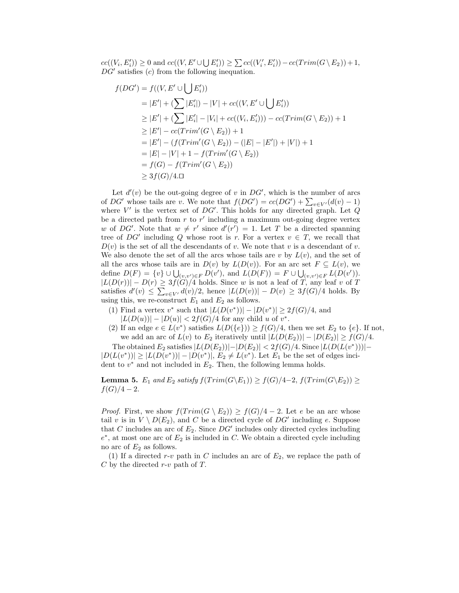$cc((V_i, E'_i)) \ge 0$  and  $cc((V, E' \cup \bigcup E'_i)) \ge \sum cc((V'_i, E'_i)) - cc(Trim(G \setminus E_2)) + 1$ ,  $DG'$  satisfies  $(c)$  from the following inequation.

$$
f(DG') = f((V, E' \cup \bigcup E'_i))
$$
  
\n
$$
= |E'| + (\sum |E'_i|) - |V| + cc((V, E' \cup \bigcup E'_i))
$$
  
\n
$$
\geq |E'| + (\sum |E'_i| - |V_i| + cc((V_i, E'_i))) - cc(Trim(G \setminus E_2)) + 1
$$
  
\n
$$
\geq |E'| - cc(Trim'(G \setminus E_2)) + 1
$$
  
\n
$$
= |E'| - (f(Trim'(G \setminus E_2)) - (|E| - |E'|) + |V|) + 1
$$
  
\n
$$
= |E| - |V| + 1 - f(Trim'(G \setminus E_2))
$$
  
\n
$$
= f(G) - f(Trim'(G \setminus E_2))
$$
  
\n
$$
\geq 3f(G)/4. \Box
$$

Let  $d'(v)$  be the out-going degree of v in  $DG'$ , which is the number of arcs of  $DG'$  whose tails are v. We note that  $f(DG') = cc(DG') + \sum_{v \in V'} (d(v) - 1)$ where V' is the vertex set of DG'. This holds for any directed graph. Let  $Q$ be a directed path from  $r$  to  $r'$  including a maximum out-going degree vertex w of DG'. Note that  $w \neq r'$  since  $d'(r') = 1$ . Let T be a directed spanning tree of  $DG'$  including Q whose root is r. For a vertex  $v \in T$ , we recall that  $D(v)$  is the set of all the descendants of v. We note that v is a descendant of v. We also denote the set of all the arcs whose tails are v by  $L(v)$ , and the set of all the arcs whose tails are in  $D(v)$  by  $L(D(v))$ . For an arc set  $F \subseteq L(v)$ , we define  $D(F) = \{v\} \cup \bigcup_{(v,v') \in F} D(v')$ , and  $L(D(F)) = F \cup \bigcup_{(v,v') \in F} L(D(v'))$ .  $|L(D(r))| - D(r) \geq 3f(G)/4$  holds. Since w is not a leaf of T, any leaf v of T satisfies  $d'(v) \leq \sum_{v \in V'} d(v)/2$ , hence  $|L(D(v))| - D(v) \geq 3f(G)/4$  holds. By using this, we re-construct  $E_1$  and  $E_2$  as follows.

- (1) Find a vertex v<sup>\*</sup> such that  $|L(D(v^*))| |D(v^*)| \geq 2f(G)/4$ , and  $|L(D(u))| - |D(u)| < 2f(G)/4$  for any child u of v<sup>\*</sup>.
- (2) If an edge  $e \in L(v^*)$  satisfies  $L(D({e})) \ge f(G)/4$ , then we set  $E_2$  to  ${e}$ . If not, we add an arc of  $L(v)$  to  $E_2$  iteratively until  $|L(D(E_2))| - |D(E_2)| \ge f(G)/4$ .

The obtained  $E_2$  satisfies  $|L(D(E_2))|-|D(E_2)| < 2f(G)/4$ . Since  $|L(D(L(v^*)))|$  $|D(L(v^*))| \ge |L(D(v^*))|-|D(v^*)|$ ,  $E_2 \ne L(v^*)$ . Let  $E_1$  be the set of edges incident to  $v^*$  and not included in  $E_2$ . Then, the following lemma holds.

**Lemma 5.**  $E_1$  *and*  $E_2$  *satisfy*  $f(T\text{rim}(G\backslash E_1)) \ge f(G)/4-2$ ,  $f(T\text{rim}(G\backslash E_2)) \ge$  $f(G)/4-2$ .

*Proof.* First, we show  $f(T \text{rim}(G \setminus E_2)) \geq f(G)/4 - 2$ . Let e be an arc whose tail v is in  $V \setminus D(E_2)$ , and C be a directed cycle of  $DG'$  including e. Suppose that C includes an arc of  $E_2$ . Since  $DG'$  includes only directed cycles including  $e^*$ , at most one arc of  $E_2$  is included in C. We obtain a directed cycle including no arc of  $E_2$  as follows.

(1) If a directed r-v path in C includes an arc of  $E_2$ , we replace the path of  $C$  by the directed  $r$ -v path of  $T$ .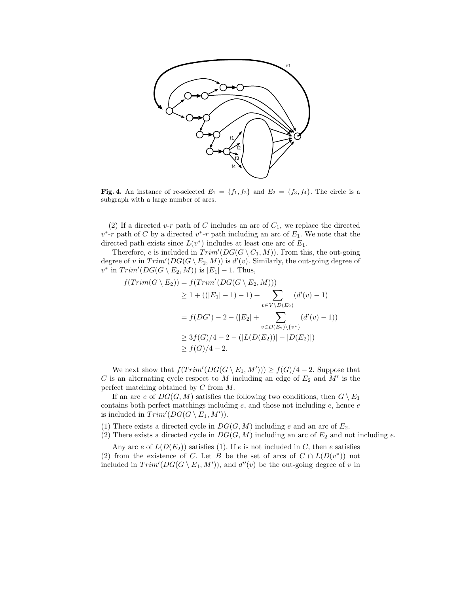

**Fig. 4.** An instance of re-selected  $E_1 = \{f_1, f_2\}$  and  $E_2 = \{f_3, f_4\}$ . The circle is a subgraph with a large number of arcs.

(2) If a directed v-r path of C includes an arc of  $C_1$ , we replace the directed  $v^*$ -r path of C by a directed  $v^*$ -r path including an arc of  $E_1$ . We note that the directed path exists since  $L(v^*)$  includes at least one arc of  $E_1$ .

Therefore, e is included in  $Trim'(DG(G \setminus C_1, M))$ . From this, the out-going degree of v in  $Trim'(DG(G \setminus E_2, M))$  is  $d'(v)$ . Similarly, the out-going degree of  $v^*$  in  $Trim'(DG(G \setminus E_2, M))$  is  $|E_1| - 1$ . Thus,

$$
f(Trim(G \setminus E_2)) = f(Trim'(DG(G \setminus E_2, M)))
$$
  
\n
$$
\geq 1 + ((|E_1| - 1) - 1) + \sum_{v \in V \setminus D(E_2)} (d'(v) - 1)
$$
  
\n
$$
= f(DG') - 2 - (|E_2| + \sum_{v \in D(E_2) \setminus \{v^*\}} (d'(v) - 1))
$$
  
\n
$$
\geq 3f(G)/4 - 2 - (|L(D(E_2))| - |D(E_2)|)
$$
  
\n
$$
\geq f(G)/4 - 2.
$$

We next show that  $f(Trim'(DG(G \setminus E_1, M'))) \ge f(G)/4 - 2$ . Suppose that C is an alternating cycle respect to M including an edge of  $E_2$  and M' is the perfect matching obtained by C from M.

If an arc e of  $DG(G, M)$  satisfies the following two conditions, then  $G \setminus E_1$ contains both perfect matchings including  $e$ , and those not including  $e$ , hence  $e$ is included in  $Trim'(DG(G \setminus E_1, M')).$ 

(1) There exists a directed cycle in  $DG(G, M)$  including e and an arc of  $E_2$ .

(2) There exists a directed cycle in  $DG(G, M)$  including an arc of  $E_2$  and not including e.

Any arc e of  $L(D(E_2))$  satisfies (1). If e is not included in C, then e satisfies (2) from the existence of C. Let B be the set of arcs of  $C \cap L(D(v^*))$  not included in  $Trim'(DG(G \setminus E_1, M'))$ , and  $d''(v)$  be the out-going degree of v in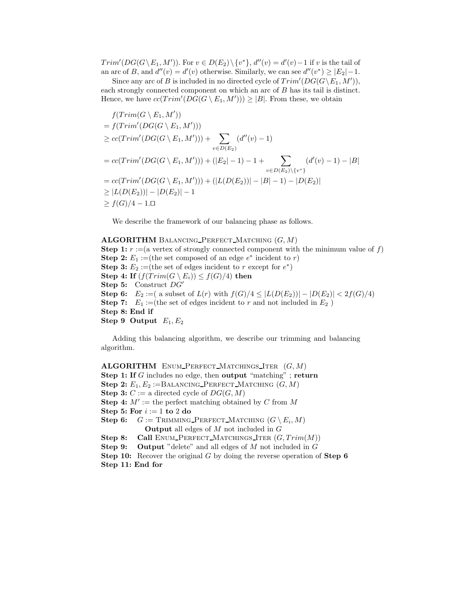$Trim'(DG(G \setminus E_1, M'))$ . For  $v \in D(E_2) \setminus \{v^*\}, d''(v) = d'(v) - 1$  if v is the tail of an arc of B, and  $d''(v) = d'(v)$  otherwise. Similarly, we can see  $d''(v^*) \ge |E_2| - 1$ .

Since any arc of B is included in no directed cycle of  $Trim'(DG(G\backslash E_1, M'))$ , each strongly connected component on which an arc of B has its tail is distinct. Hence, we have  $cc(Trim'(DG(G \setminus E_1, M'))) \geq |B|$ . From these, we obtain

$$
f(Trim(G \setminus E_1, M'))
$$
  
=  $f(Trim'(DG(G \setminus E_1, M')))$   
 $\geq cc(Trim'(DG(G \setminus E_1, M')))+ \sum_{v \in D(E_2)} (d''(v) - 1)$   
=  $cc(Trim'(DG(G \setminus E_1, M')))+(|E_2| - 1) - 1 + \sum_{v \in D(E_2) \setminus \{v^*\}} (d'(v) - 1) - |B|$   
=  $cc(Trim'(DG(G \setminus E_1, M')))+(|L(D(E_2))| - |B| - 1) - |D(E_2)|$   
 $\geq |L(D(E_2))| - |D(E_2)| - 1$   
 $\geq f(G)/4 - 1. \square$ 

We describe the framework of our balancing phase as follows.

**ALGORITHM** BALANCING PERFECT MATCHING  $(G, M)$ **Step 1:**  $r := (a \text{ vertex of strongly connected component with the minimum value of } f)$ **Step 2:**  $E_1 :=$ (the set composed of an edge  $e^*$  incident to r) **Step 3:**  $E_2 :=$ (the set of edges incident to r except for  $e^*$ ) **Step 4:** If  $(f(T\text{rim}(G \setminus E_i)) \leq f(G)/4)$  then **Step 5:** Construct DG **Step 6:**  $E_2 := ($  a subset of  $L(r)$  with  $f(G)/4 \leq |L(D(E_2))| - |D(E_2)| \leq 2f(G)/4$ **Step 7:**  $E_1 :=$ (the set of edges incident to r and not included in  $E_2$ ) **Step 8: End if Step 9 Output**  $E_1, E_2$ 

Adding this balancing algorithm, we describe our trimming and balancing algorithm.

**ALGORITHM** ENUM PERFECT MATCHINGS ITER  $(G, M)$ **Step 1: If** G includes no edge, then **output** "matching" ; **return Step 2:**  $E_1, E_2 := BALANCING\_PERFECT\_MATCHING (G, M)$ **Step 3:**  $C := a$  directed cycle of  $DG(G, M)$ **Step 4:**  $M' :=$  the perfect matching obtained by C from M **Step 5: For**  $i := 1$  **to** 2 **do Step 6:**  $G := \text{TRIMMING-PERFECT\_MATCHING } (G \setminus E_i, M)$ **Output** all edges of M not included in G **Step 8:** Call ENUM\_PERFECT\_MATCHINGS\_ITER  $(G, Trim(M))$ <br>**Step 9:** Output "delete" and all edges of M not included in G **Output** "delete" and all edges of  $M$  not included in  $G$ **Step 10:** Recover the original G by doing the reverse operation of **Step 6 Step 11: End for**